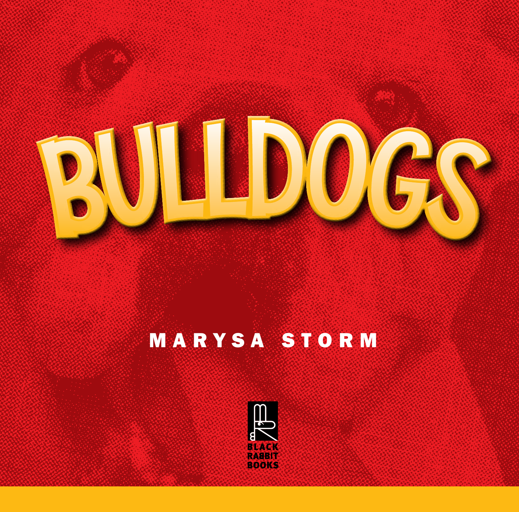

### MARYSA STORM

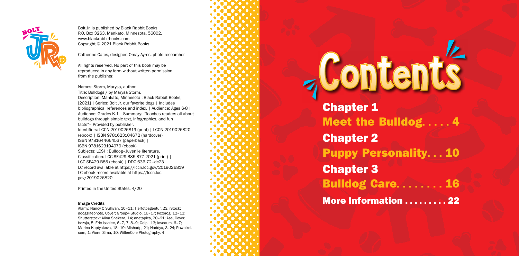- Meet the Bulldog. . . . . 4
- Puppy Personality. . . 10
- Bulldog Care. . . . . . . . 16
- More Information . . . . . . . . 22



Chapter 1

Chapter 2 Chapter 3

# Contents



Bolt Jr. is published by Black Rabbit Books P.O. Box 3263, Mankato, Minnesota, 56002. www.blackrabbitbooks.com Copyright © 2021 Black Rabbit Books

Catherine Cates, designer; Omay Ayres, photo researcher

All rights reserved. No part of this book may be reproduced in any form without written permission from the publisher.

Names: Storm, Marysa, author. Title: Bulldogs / by Marysa Storm. Description: Mankato, Minnesota : Black Rabbit Books, [2021] | Series: Bolt Jr. our favorite dogs | Includes bibliographical references and index. | Audience: Ages 6-8 | Audience: Grades K-1 | Summary: "Teaches readers all about bulldogs through simple text, infographics, and fun facts"– Provided by publisher. Identifiers: LCCN 2019026819 (print) | LCCN 2019026820 (ebook) | ISBN 9781623104672 (hardcover) | ISBN 9781644664537 (paperback) | ISBN 9781623104979 (ebook) Subjects: LCSH: Bulldog–Juvenile literature. Classification: LCC SF429.B85 S77 2021 (print) | LCC SF429.B85 (ebook) | DDC 636.72–dc23 LC record available at https://lccn.loc.gov/2019026819 LC ebook record available at https://lccn.loc. gov/2019026820

Printed in the United States. 4/20

#### Image Credits

Alamy: Nancy O'Sullivan, 10–11; Tierfotoagentur, 23; iStock: adogslifephoto, Cover; Group4 Studio, 16–17; kozorog, 12–13; Shutterstock: Alina Shekera, 14; anetapics, 20–21; Ase, Cover; bozsja, 5; Eric Isselee, 6–7, 7, 8–9; Gelpi, 13; loveaum, 6–7; Marina Koptyakova, 18–19; Mishadp, 21; Naddya, 3, 24; Rawpixel. com, 1; Viorel Sima, 10; WilleeCole Photography, 4

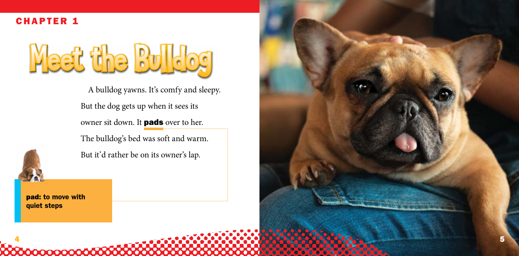pad: to move with quiet steps

A bulldog yawns. It's comfy and sleepy. But the dog gets up when it sees its owner sit down. It **pads** over to her.

**00000000000000** 

The bulldog's bed was soft and warm.



But it'd rather be on its owner's lap.



CHAPTER 1

Meet the Bu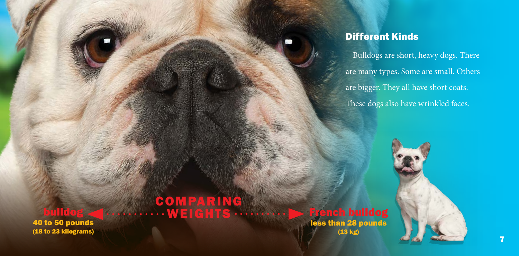# 40 to 50 pounds (18 to 23 kilograms)

COMPARING bulldog WWEIGHTS

## nch bulldog

less than 28 pounds (13 kg)

#### Different Kinds

Bulldogs are short, heavy dogs. There are many types. Some are small. Others are bigger. They all have short coats. These dogs also have wrinkled faces.